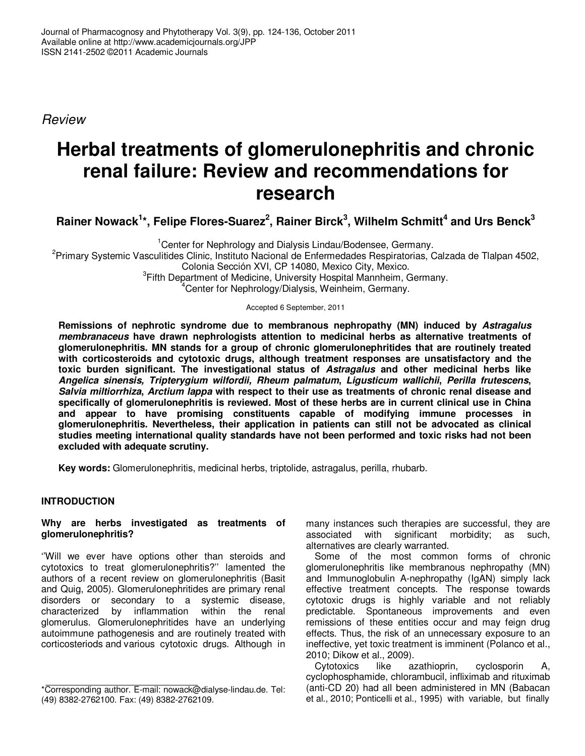Review

# **Herbal treatments of glomerulonephritis and chronic renal failure: Review and recommendations for research**

**Rainer Nowack<sup>1</sup> \*, Felipe Flores-Suarez<sup>2</sup> , Rainer Birck<sup>3</sup> , Wilhelm Schmitt<sup>4</sup> and Urs Benck<sup>3</sup>**

<sup>1</sup> Center for Nephrology and Dialysis Lindau/Bodensee, Germany. <sup>2</sup>Primary Systemic Vasculitides Clinic, Instituto Nacional de Enfermedades Respiratorias, Calzada de Tlalpan 4502, Colonia Sección XVI, CP 14080, Mexico City, Mexico. <sup>3</sup>Fifth Department of Medicine, University Hospital Mannheim, Germany. <sup>4</sup>Center for Nephrology/Dialysis, Weinheim, Germany.

Accepted 6 September, 2011

**Remissions of nephrotic syndrome due to membranous nephropathy (MN) induced by Astragalus membranaceus have drawn nephrologists attention to medicinal herbs as alternative treatments of glomerulonephritis. MN stands for a group of chronic glomerulonephritides that are routinely treated with corticosteroids and cytotoxic drugs, although treatment responses are unsatisfactory and the toxic burden significant. The investigational status of Astragalus and other medicinal herbs like Angelica sinensis, Tripterygium wilfordii, Rheum palmatum, Ligusticum wallichii, Perilla frutescens, Salvia miltiorrhiza, Arctium lappa with respect to their use as treatments of chronic renal disease and specifically of glomerulonephritis is reviewed. Most of these herbs are in current clinical use in China and appear to have promising constituents capable of modifying immune processes in glomerulonephritis. Nevertheless, their application in patients can still not be advocated as clinical studies meeting international quality standards have not been performed and toxic risks had not been excluded with adequate scrutiny.** 

**Key words:** Glomerulonephritis, medicinal herbs, triptolide, astragalus, perilla, rhubarb.

## **INTRODUCTION**

#### **Why are herbs investigated as treatments of glomerulonephritis?**

''Will we ever have options other than steroids and cytotoxics to treat glomerulonephritis?'' lamented the authors of a recent review on glomerulonephritis (Basit and Quig, 2005). Glomerulonephritides are primary renal disorders or secondary to a systemic disease, characterized by inflammation within the renal glomerulus. Glomerulonephritides have an underlying autoimmune pathogenesis and are routinely treated with corticosteriods and various cytotoxic drugs. Although in

many instances such therapies are successful, they are<br>associated with significant morbidity: as such, significant morbidity; as such, alternatives are clearly warranted.

Some of the most common forms of chronic glomerulonephritis like membranous nephropathy (MN) and Immunoglobulin A-nephropathy (IgAN) simply lack effective treatment concepts. The response towards cytotoxic drugs is highly variable and not reliably predictable. Spontaneous improvements and even remissions of these entities occur and may feign drug effects. Thus, the risk of an unnecessary exposure to an ineffective, yet toxic treatment is imminent (Polanco et al., 2010; Dikow et al., 2009).

azathioprin, cyclosporin A, cyclophosphamide, chlorambucil, infliximab and rituximab (anti-CD 20) had all been administered in MN (Babacan et al., 2010; Ponticelli et al., 1995) with variable, but finally

<sup>\*</sup>Corresponding author. E-mail: nowack@dialyse-lindau.de. Tel: (49) 8382-2762100. Fax: (49) 8382-2762109.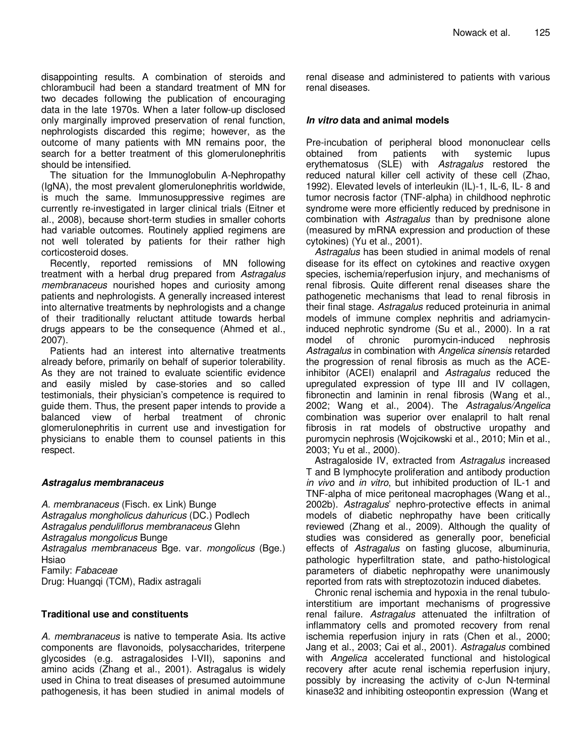disappointing results. A combination of steroids and chlorambucil had been a standard treatment of MN for two decades following the publication of encouraging data in the late 1970s. When a later follow-up disclosed only marginally improved preservation of renal function, nephrologists discarded this regime; however, as the outcome of many patients with MN remains poor, the search for a better treatment of this glomerulonephritis should be intensified.

The situation for the Immunoglobulin A-Nephropathy (IgNA), the most prevalent glomerulonephritis worldwide, is much the same. Immunosuppressive regimes are currently re-investigated in larger clinical trials (Eitner et al., 2008), because short-term studies in smaller cohorts had variable outcomes. Routinely applied regimens are not well tolerated by patients for their rather high corticosteroid doses.

Recently, reported remissions of MN following treatment with a herbal drug prepared from Astragalus membranaceus nourished hopes and curiosity among patients and nephrologists. A generally increased interest into alternative treatments by nephrologists and a change of their traditionally reluctant attitude towards herbal drugs appears to be the consequence (Ahmed et al., 2007).

Patients had an interest into alternative treatments already before, primarily on behalf of superior tolerability. As they are not trained to evaluate scientific evidence and easily misled by case-stories and so called testimonials, their physician's competence is required to guide them. Thus, the present paper intends to provide a balanced view of herbal treatment of chronic glomerulonephritis in current use and investigation for physicians to enable them to counsel patients in this respect.

#### **Astragalus membranaceus**

A. membranaceus (Fisch. ex Link) Bunge Astragalus mongholicus dahuricus (DC.) Podlech Astragalus penduliflorus membranaceus Glehn Astragalus mongolicus Bunge Astragalus membranaceus Bge. var. mongolicus (Bge.) Hsiao Family: Fabaceae Drug: Huangqi (TCM), Radix astragali

#### **Traditional use and constituents**

A. membranaceus is native to temperate Asia. Its active components are flavonoids, polysaccharides, triterpene glycosides (e.g. astragalosides I-VII), saponins and amino acids (Zhang et al., 2001). Astragalus is widely used in China to treat diseases of presumed autoimmune pathogenesis, it has been studied in animal models of

renal disease and administered to patients with various renal diseases.

### **In vitro data and animal models**

Pre-incubation of peripheral blood mononuclear cells obtained from patients with systemic lupus erythematosus (SLE) with Astragalus restored the reduced natural killer cell activity of these cell (Zhao, 1992). Elevated levels of interleukin (IL)-1, IL-6, IL- 8 and tumor necrosis factor (TNF-alpha) in childhood nephrotic syndrome were more efficiently reduced by prednisone in combination with Astragalus than by prednisone alone (measured by mRNA expression and production of these cytokines) (Yu et al., 2001).

Astragalus has been studied in animal models of renal disease for its effect on cytokines and reactive oxygen species, ischemia/reperfusion injury, and mechanisms of renal fibrosis. Quite different renal diseases share the pathogenetic mechanisms that lead to renal fibrosis in their final stage. Astragalus reduced proteinuria in animal models of immune complex nephritis and adriamycininduced nephrotic syndrome (Su et al., 2000). In a rat model of chronic puromycin-induced nephrosis Astragalus in combination with Angelica sinensis retarded the progression of renal fibrosis as much as the ACEinhibitor (ACEI) enalapril and Astragalus reduced the upregulated expression of type III and IV collagen, fibronectin and laminin in renal fibrosis (Wang et al., 2002; Wang et al., 2004). The Astragalus/Angelica combination was superior over enalapril to halt renal fibrosis in rat models of obstructive uropathy and puromycin nephrosis (Wojcikowski et al., 2010; Min et al., 2003; Yu et al., 2000).

Astragaloside IV, extracted from Astragalus increased T and B lymphocyte proliferation and antibody production in vivo and in vitro, but inhibited production of IL-1 and TNF-alpha of mice peritoneal macrophages (Wang et al., 2002b). Astragalus' nephro-protective effects in animal models of diabetic nephropathy have been critically reviewed (Zhang et al., 2009). Although the quality of studies was considered as generally poor, beneficial effects of Astragalus on fasting glucose, albuminuria, pathologic hyperfiltration state, and patho-histological parameters of diabetic nephropathy were unanimously reported from rats with streptozotozin induced diabetes.

Chronic renal ischemia and hypoxia in the renal tubulointerstitium are important mechanisms of progressive renal failure. Astragalus attenuated the infiltration of inflammatory cells and promoted recovery from renal ischemia reperfusion injury in rats (Chen et al., 2000; Jang et al., 2003; Cai et al., 2001). Astragalus combined with Angelica accelerated functional and histological recovery after acute renal ischemia reperfusion injury, possibly by increasing the activity of c-Jun N-terminal kinase32 and inhibiting osteopontin expression (Wang et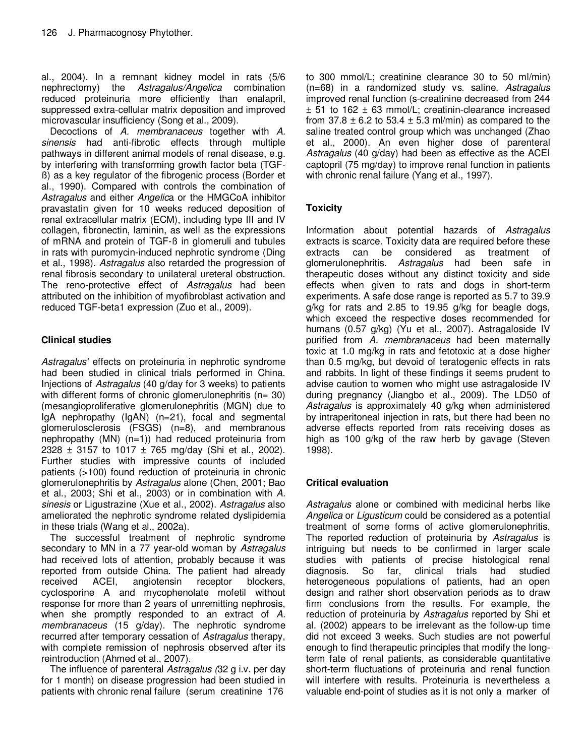al., 2004). In a remnant kidney model in rats (5/6 nephrectomy) the Astragalus/Angelica combination reduced proteinuria more efficiently than enalapril, suppressed extra-cellular matrix deposition and improved microvascular insufficiency (Song et al., 2009).

Decoctions of A. membranaceus together with A. sinensis had anti-fibrotic effects through multiple pathways in different animal models of renal disease, e.g. by interfering with transforming growth factor beta (TGFß) as a key regulator of the fibrogenic process (Border et al., 1990). Compared with controls the combination of Astragalus and either Angelica or the HMGCoA inhibitor pravastatin given for 10 weeks reduced deposition of renal extracellular matrix (ECM), including type III and IV collagen, fibronectin, laminin, as well as the expressions of mRNA and protein of TGF-ß in glomeruli and tubules in rats with puromycin-induced nephrotic syndrome (Ding et al., 1998). Astragalus also retarded the progression of renal fibrosis secondary to unilateral ureteral obstruction. The reno-protective effect of Astragalus had been attributed on the inhibition of myofibroblast activation and reduced TGF-beta1 expression (Zuo et al., 2009).

## **Clinical studies**

Astragalus' effects on proteinuria in nephrotic syndrome had been studied in clinical trials performed in China. Injections of Astragalus (40 g/day for 3 weeks) to patients with different forms of chronic glomerulonephritis  $(n= 30)$ (mesangioproliferative glomerulonephritis (MGN) due to IgA nephropathy (IgAN) (n=21), focal and segmental glomerulosclerosis (FSGS) (n=8), and membranous nephropathy (MN) (n=1)) had reduced proteinuria from 2328  $\pm$  3157 to 1017  $\pm$  765 mg/day (Shi et al., 2002). Further studies with impressive counts of included patients (>100) found reduction of proteinuria in chronic glomerulonephritis by Astragalus alone (Chen, 2001; Bao et al., 2003; Shi et al., 2003) or in combination with A. sinesis or Ligustrazine (Xue et al., 2002). Astragalus also ameliorated the nephrotic syndrome related dyslipidemia in these trials (Wang et al., 2002a).

The successful treatment of nephrotic syndrome secondary to MN in a 77 year-old woman by Astragalus had received lots of attention, probably because it was reported from outside China. The patient had already received ACEI, angiotensin receptor blockers, cyclosporine A and mycophenolate mofetil without response for more than 2 years of unremitting nephrosis, when she promptly responded to an extract of A. membranaceus (15 g/day). The nephrotic syndrome recurred after temporary cessation of Astragalus therapy, with complete remission of nephrosis observed after its reintroduction (Ahmed et al., 2007).

The influence of parenteral Astragalus (32 g i.v. per day for 1 month) on disease progression had been studied in patients with chronic renal failure (serum creatinine 176

to 300 mmol/L; creatinine clearance 30 to 50 ml/min) (n=68) in a randomized study vs. saline. Astragalus improved renal function (s-creatinine decreased from 244 ± 51 to 162 ± 63 mmol/L; creatinin-clearance increased from  $37.8 \pm 6.2$  to  $53.4 \pm 5.3$  ml/min) as compared to the saline treated control group which was unchanged (Zhao et al., 2000). An even higher dose of parenteral Astragalus (40 g/day) had been as effective as the ACEI captopril (75 mg/day) to improve renal function in patients with chronic renal failure (Yang et al., 1997).

## **Toxicity**

Information about potential hazards of Astragalus extracts is scarce. Toxicity data are required before these extracts can be considered as treatment of glomerulonephritis. Astragalus had been safe in therapeutic doses without any distinct toxicity and side effects when given to rats and dogs in short-term experiments. A safe dose range is reported as 5.7 to 39.9 g/kg for rats and 2.85 to 19.95 g/kg for beagle dogs, which exceed the respective doses recommended for humans (0.57 g/kg) (Yu et al., 2007). Astragaloside IV purified from A. membranaceus had been maternally toxic at 1.0 mg/kg in rats and fetotoxic at a dose higher than 0.5 mg/kg, but devoid of teratogenic effects in rats and rabbits. In light of these findings it seems prudent to advise caution to women who might use astragaloside IV during pregnancy (Jiangbo et al., 2009). The LD50 of Astragalus is approximately 40 g/kg when administered by intraperitoneal injection in rats, but there had been no adverse effects reported from rats receiving doses as high as 100 g/kg of the raw herb by gavage (Steven 1998).

## **Critical evaluation**

Astragalus alone or combined with medicinal herbs like Angelica or Ligusticum could be considered as a potential treatment of some forms of active glomerulonephritis. The reported reduction of proteinuria by Astragalus is intriguing but needs to be confirmed in larger scale studies with patients of precise histological renal diagnosis. So far, clinical trials had studied heterogeneous populations of patients, had an open design and rather short observation periods as to draw firm conclusions from the results. For example, the reduction of proteinuria by Astragalus reported by Shi et al. (2002) appears to be irrelevant as the follow-up time did not exceed 3 weeks. Such studies are not powerful enough to find therapeutic principles that modify the longterm fate of renal patients, as considerable quantitative short-term fluctuations of proteinuria and renal function will interfere with results. Proteinuria is nevertheless a valuable end-point of studies as it is not only a marker of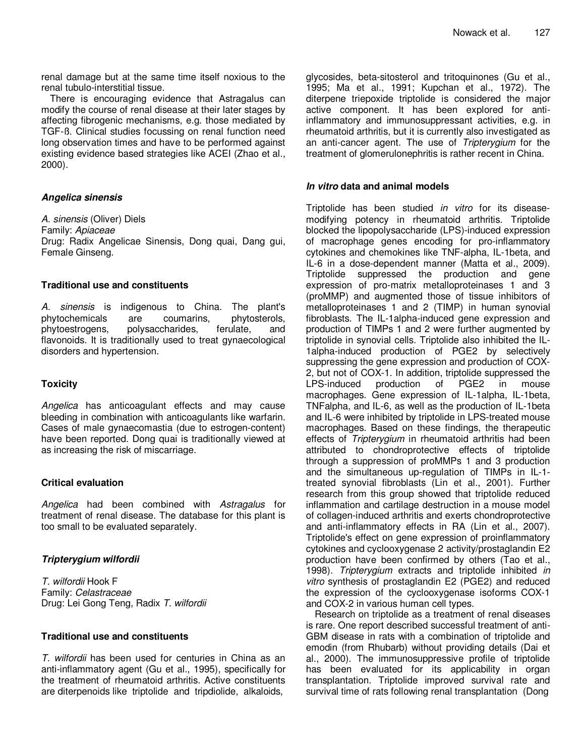renal damage but at the same time itself noxious to the renal tubulo-interstitial tissue.

There is encouraging evidence that Astragalus can modify the course of renal disease at their later stages by affecting fibrogenic mechanisms, e.g. those mediated by TGF-ß. Clinical studies focussing on renal function need long observation times and have to be performed against existing evidence based strategies like ACEI (Zhao et al., 2000).

#### **Angelica sinensis**

A. sinensis (Oliver) Diels Family: Apiaceae Drug: Radix Angelicae Sinensis, Dong quai, Dang gui, Female Ginseng.

#### **Traditional use and constituents**

A. sinensis is indigenous to China. The plant's phytochemicals are coumarins, phytosterols, phytoestrogens, polysaccharides, ferulate, and flavonoids. It is traditionally used to treat gynaecological disorders and hypertension.

#### **Toxicity**

Angelica has anticoagulant effects and may cause bleeding in combination with anticoagulants like warfarin. Cases of male gynaecomastia (due to estrogen-content) have been reported. Dong quai is traditionally viewed at as increasing the risk of miscarriage.

#### **Critical evaluation**

Angelica had been combined with Astragalus for treatment of renal disease. The database for this plant is too small to be evaluated separately.

## **Tripterygium wilfordii**

T. wilfordii Hook F Family: Celastraceae Drug: Lei Gong Teng, Radix T. wilfordii

#### **Traditional use and constituents**

T. wilfordii has been used for centuries in China as an anti-inflammatory agent (Gu et al., 1995), specifically for the treatment of rheumatoid arthritis. Active constituents are diterpenoids like triptolide and tripdiolide, alkaloids,

glycosides, beta-sitosterol and tritoquinones (Gu et al., 1995; Ma et al., 1991; Kupchan et al., 1972). The diterpene triepoxide triptolide is considered the major active component. It has been explored for antiinflammatory and immunosuppressant activities, e.g. in rheumatoid arthritis, but it is currently also investigated as an anti-cancer agent. The use of Tripterygium for the treatment of glomerulonephritis is rather recent in China.

#### **In vitro data and animal models**

Triptolide has been studied in vitro for its diseasemodifying potency in rheumatoid arthritis. Triptolide blocked the lipopolysaccharide (LPS)-induced expression of macrophage genes encoding for pro-inflammatory cytokines and chemokines like TNF-alpha, IL-1beta, and IL-6 in a dose-dependent manner (Matta et al., 2009). Triptolide suppressed the production and gene expression of pro-matrix metalloproteinases 1 and 3 (proMMP) and augmented those of tissue inhibitors of metalloproteinases 1 and 2 (TIMP) in human synovial fibroblasts. The IL-1alpha-induced gene expression and production of TIMPs 1 and 2 were further augmented by triptolide in synovial cells. Triptolide also inhibited the IL-1alpha-induced production of PGE2 by selectively suppressing the gene expression and production of COX-2, but not of COX-1. In addition, triptolide suppressed the LPS-induced production of PGE2 in mouse macrophages. Gene expression of IL-1alpha, IL-1beta, TNFalpha, and IL-6, as well as the production of IL-1beta and IL-6 were inhibited by triptolide in LPS-treated mouse macrophages. Based on these findings, the therapeutic effects of Tripterygium in rheumatoid arthritis had been attributed to chondroprotective effects of triptolide through a suppression of proMMPs 1 and 3 production and the simultaneous up-regulation of TIMPs in IL-1 treated synovial fibroblasts (Lin et al., 2001). Further research from this group showed that triptolide reduced inflammation and cartilage destruction in a mouse model of collagen-induced arthritis and exerts chondroprotective and anti-inflammatory effects in RA (Lin et al., 2007). Triptolide's effect on gene expression of proinflammatory cytokines and cyclooxygenase 2 activity/prostaglandin E2 production have been confirmed by others (Tao et al., 1998). Tripterygium extracts and triptolide inhibited in vitro synthesis of prostaglandin E2 (PGE2) and reduced the expression of the cyclooxygenase isoforms COX-1 and COX-2 in various human cell types.

Research on triptolide as a treatment of renal diseases is rare. One report described successful treatment of anti-GBM disease in rats with a combination of triptolide and emodin (from Rhubarb) without providing details (Dai et al., 2000). The immunosuppressive profile of triptolide has been evaluated for its applicability in organ transplantation. Triptolide improved survival rate and survival time of rats following renal transplantation (Dong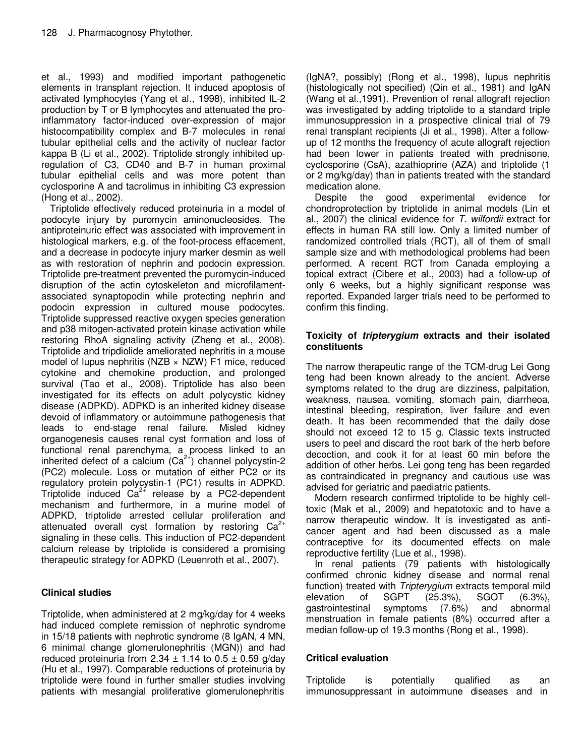et al., 1993) and modified important pathogenetic elements in transplant rejection. It induced apoptosis of activated lymphocytes (Yang et al., 1998), inhibited IL-2 production by T or B lymphocytes and attenuated the proinflammatory factor-induced over-expression of major histocompatibility complex and B-7 molecules in renal tubular epithelial cells and the activity of nuclear factor kappa B (Li et al., 2002). Triptolide strongly inhibited upregulation of C3, CD40 and B-7 in human proximal tubular epithelial cells and was more potent than cyclosporine A and tacrolimus in inhibiting C3 expression (Hong et al., 2002).

Triptolide effectively reduced proteinuria in a model of podocyte injury by puromycin aminonucleosides. The antiproteinuric effect was associated with improvement in histological markers, e.g. of the foot-process effacement, and a decrease in podocyte injury marker desmin as well as with restoration of nephrin and podocin expression. Triptolide pre-treatment prevented the puromycin-induced disruption of the actin cytoskeleton and microfilamentassociated synaptopodin while protecting nephrin and podocin expression in cultured mouse podocytes. Triptolide suppressed reactive oxygen species generation and p38 mitogen-activated protein kinase activation while restoring RhoA signaling activity (Zheng et al., 2008). Triptolide and tripdiolide ameliorated nephritis in a mouse model of lupus nephritis (NZB  $\times$  NZW) F1 mice, reduced cytokine and chemokine production, and prolonged survival (Tao et al., 2008). Triptolide has also been investigated for its effects on adult polycystic kidney disease (ADPKD). ADPKD is an inherited kidney disease devoid of inflammatory or autoimmune pathogenesis that leads to end-stage renal failure. Misled kidney organogenesis causes renal cyst formation and loss of functional renal parenchyma, a process linked to an inherited defect of a calcium  $(Ca^{2+})$  channel polycystin-2 (PC2) molecule. Loss or mutation of either PC2 or its regulatory protein polycystin-1 (PC1) results in ADPKD. Triptolide induced  $Ca^{2+}$  release by a PC2-dependent mechanism and furthermore, in a murine model of ADPKD, triptolide arrested cellular proliferation and attenuated overall cyst formation by restoring  $Ca^{2+}$ signaling in these cells. This induction of PC2-dependent calcium release by triptolide is considered a promising therapeutic strategy for ADPKD (Leuenroth et al., 2007).

## **Clinical studies**

Triptolide, when administered at 2 mg/kg/day for 4 weeks had induced complete remission of nephrotic syndrome in 15/18 patients with nephrotic syndrome (8 IgAN, 4 MN, 6 minimal change glomerulonephritis (MGN)) and had reduced proteinuria from 2.34  $\pm$  1.14 to 0.5  $\pm$  0.59 g/day (Hu et al., 1997). Comparable reductions of proteinuria by triptolide were found in further smaller studies involving patients with mesangial proliferative glomerulonephritis

(IgNA?, possibly) (Rong et al., 1998), lupus nephritis (histologically not specified) (Qin et al., 1981) and IgAN (Wang et al.,1991). Prevention of renal allograft rejection was investigated by adding triptolide to a standard triple immunosuppression in a prospective clinical trial of 79 renal transplant recipients (Ji et al., 1998). After a followup of 12 months the frequency of acute allograft rejection had been lower in patients treated with prednisone, cyclosporine (CsA), azathioprine (AZA) and triptolide (1 or 2 mg/kg/day) than in patients treated with the standard medication alone.<br>Despite the good

experimental evidence for chondroprotection by triptolide in animal models (Lin et al., 2007) the clinical evidence for  $T$ . wilfordii extract for effects in human RA still low. Only a limited number of randomized controlled trials (RCT), all of them of small sample size and with methodological problems had been performed. A recent RCT from Canada employing a topical extract (Cibere et al., 2003) had a follow-up of only 6 weeks, but a highly significant response was reported. Expanded larger trials need to be performed to confirm this finding.

## **Toxicity of tripterygium extracts and their isolated constituents**

The narrow therapeutic range of the TCM-drug Lei Gong teng had been known already to the ancient. Adverse symptoms related to the drug are dizziness, palpitation, weakness, nausea, vomiting, stomach pain, diarrheoa, intestinal bleeding, respiration, liver failure and even death. It has been recommended that the daily dose should not exceed 12 to 15 g. Classic texts instructed users to peel and discard the root bark of the herb before decoction, and cook it for at least 60 min before the addition of other herbs. Lei gong teng has been regarded as contraindicated in pregnancy and cautious use was advised for geriatric and paediatric patients.

Modern research confirmed triptolide to be highly celltoxic (Mak et al., 2009) and hepatotoxic and to have a narrow therapeutic window. It is investigated as anticancer agent and had been discussed as a male contraceptive for its documented effects on male reproductive fertility (Lue et al., 1998).

In renal patients (79 patients with histologically confirmed chronic kidney disease and normal renal function) treated with Tripterygium extracts temporal mild elevation of SGPT (25.3%), SGOT (6.3%), gastrointestinal symptoms (7.6%) and abnormal menstruation in female patients (8%) occurred after a median follow-up of 19.3 months (Rong et al., 1998).

## **Critical evaluation**

Triptolide is potentially qualified as an immunosuppressant in autoimmune diseases and in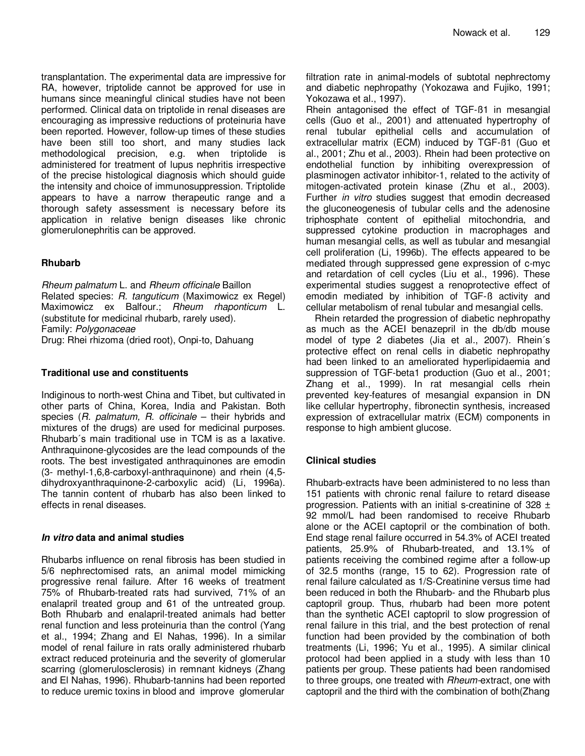transplantation. The experimental data are impressive for RA, however, triptolide cannot be approved for use in humans since meaningful clinical studies have not been performed. Clinical data on triptolide in renal diseases are encouraging as impressive reductions of proteinuria have been reported. However, follow-up times of these studies have been still too short, and many studies lack methodological precision, e.g. when triptolide is administered for treatment of lupus nephritis irrespective of the precise histological diagnosis which should guide the intensity and choice of immunosuppression. Triptolide appears to have a narrow therapeutic range and a thorough safety assessment is necessary before its application in relative benign diseases like chronic glomerulonephritis can be approved.

## **Rhubarb**

Rheum palmatum L. and Rheum officinale Baillon Related species: R. tanguticum (Maximowicz ex Regel) Maximowicz ex Balfour.; Rheum rhaponticum L. (substitute for medicinal rhubarb, rarely used). Family: Polygonaceae

Drug: Rhei rhizoma (dried root), Onpi-to, Dahuang

#### **Traditional use and constituents**

Indiginous to north-west China and Tibet, but cultivated in other parts of China, Korea, India and Pakistan. Both species  $(R.$  palmatum,  $R.$  officinale – their hybrids and mixtures of the drugs) are used for medicinal purposes. Rhubarb´s main traditional use in TCM is as a laxative. Anthraquinone-glycosides are the lead compounds of the roots. The best investigated anthraquinones are emodin (3- methyl-1,6,8-carboxyl-anthraquinone) and rhein (4,5 dihydroxyanthraquinone-2-carboxylic acid) (Li, 1996a). The tannin content of rhubarb has also been linked to effects in renal diseases.

#### **In vitro data and animal studies**

Rhubarbs influence on renal fibrosis has been studied in 5/6 nephrectomised rats, an animal model mimicking progressive renal failure. After 16 weeks of treatment 75% of Rhubarb-treated rats had survived, 71% of an enalapril treated group and 61 of the untreated group. Both Rhubarb and enalapril-treated animals had better renal function and less proteinuria than the control (Yang et al., 1994; Zhang and El Nahas, 1996). In a similar model of renal failure in rats orally administered rhubarb extract reduced proteinuria and the severity of glomerular scarring (glomerulosclerosis) in remnant kidneys (Zhang and El Nahas, 1996). Rhubarb-tannins had been reported to reduce uremic toxins in blood and improve glomerular filtration rate in animal-models of subtotal nephrectomy and diabetic nephropathy (Yokozawa and Fujiko, 1991; Yokozawa et al., 1997).

Rhein antagonised the effect of TGF-ß1 in mesangial cells (Guo et al., 2001) and attenuated hypertrophy of renal tubular epithelial cells and accumulation of extracellular matrix (ECM) induced by TGF-ß1 (Guo et al., 2001; Zhu et al., 2003). Rhein had been protective on endothelial function by inhibiting overexpression of plasminogen activator inhibitor-1, related to the activity of mitogen-activated protein kinase (Zhu et al., 2003). Further in vitro studies suggest that emodin decreased the gluconeogenesis of tubular cells and the adenosine triphosphate content of epithelial mitochondria, and suppressed cytokine production in macrophages and human mesangial cells, as well as tubular and mesangial cell proliferation (Li, 1996b). The effects appeared to be mediated through suppressed gene expression of c-myc and retardation of cell cycles (Liu et al., 1996). These experimental studies suggest a renoprotective effect of emodin mediated by inhibition of TGF-ß activity and cellular metabolism of renal tubular and mesangial cells.

Rhein retarded the progression of diabetic nephropathy as much as the ACEI benazepril in the db/db mouse model of type 2 diabetes (Jia et al., 2007). Rhein´s protective effect on renal cells in diabetic nephropathy had been linked to an ameliorated hyperlipidaemia and suppression of TGF-beta1 production (Guo et al., 2001; Zhang et al., 1999). In rat mesangial cells rhein prevented key-features of mesangial expansion in DN like cellular hypertrophy, fibronectin synthesis, increased expression of extracellular matrix (ECM) components in response to high ambient glucose.

## **Clinical studies**

Rhubarb-extracts have been administered to no less than 151 patients with chronic renal failure to retard disease progression. Patients with an initial s-creatinine of 328  $\pm$ 92 mmol/L had been randomised to receive Rhubarb alone or the ACEI captopril or the combination of both. End stage renal failure occurred in 54.3% of ACEI treated patients, 25.9% of Rhubarb-treated, and 13.1% of patients receiving the combined regime after a follow-up of 32.5 months (range, 15 to 62). Progression rate of renal failure calculated as 1/S-Creatinine versus time had been reduced in both the Rhubarb- and the Rhubarb plus captopril group. Thus, rhubarb had been more potent than the synthetic ACEI captopril to slow progression of renal failure in this trial, and the best protection of renal function had been provided by the combination of both treatments (Li, 1996; Yu et al., 1995). A similar clinical protocol had been applied in a study with less than 10 patients per group. These patients had been randomised to three groups, one treated with Rheum-extract, one with captopril and the third with the combination of both(Zhang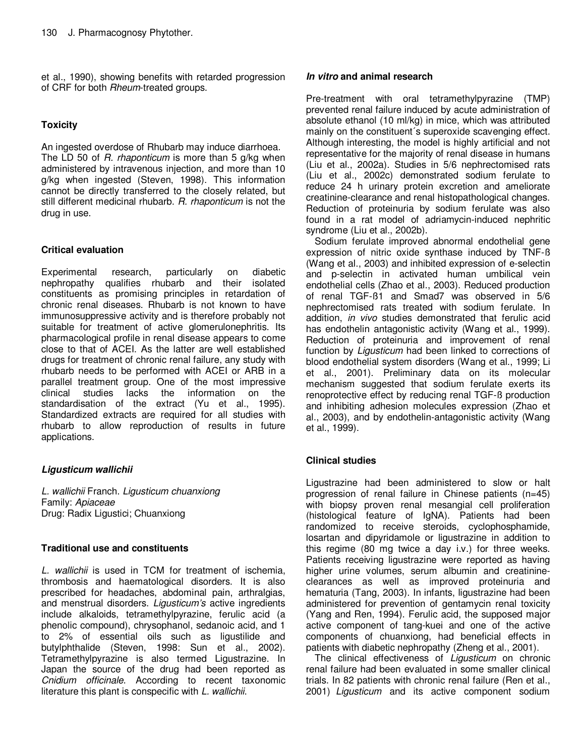et al., 1990), showing benefits with retarded progression of CRF for both Rheum-treated groups.

## **Toxicity**

An ingested overdose of Rhubarb may induce diarrhoea. The LD 50 of R. rhaponticum is more than 5 g/kg when administered by intravenous injection, and more than 10 g/kg when ingested (Steven, 1998). This information cannot be directly transferred to the closely related, but still different medicinal rhubarb. R. rhaponticum is not the drug in use.

## **Critical evaluation**

Experimental research, particularly on diabetic nephropathy qualifies rhubarb and their isolated constituents as promising principles in retardation of chronic renal diseases. Rhubarb is not known to have immunosuppressive activity and is therefore probably not suitable for treatment of active glomerulonephritis. Its pharmacological profile in renal disease appears to come close to that of ACEI. As the latter are well established drugs for treatment of chronic renal failure, any study with rhubarb needs to be performed with ACEI or ARB in a parallel treatment group. One of the most impressive clinical studies lacks the information on the standardisation of the extract (Yu et al., 1995). Standardized extracts are required for all studies with rhubarb to allow reproduction of results in future applications.

## **Ligusticum wallichii**

L. wallichii Franch. Ligusticum chuanxiong Family: Apiaceae Drug: Radix Ligustici; Chuanxiong

## **Traditional use and constituents**

L. wallichii is used in TCM for treatment of ischemia, thrombosis and haematological disorders. It is also prescribed for headaches, abdominal pain, arthralgias, and menstrual disorders. Ligusticum's active ingredients include alkaloids, tetramethylpyrazine, ferulic acid (a phenolic compound), chrysophanol, sedanoic acid, and 1 to 2% of essential oils such as ligustilide and butylphthalide (Steven, 1998: Sun et al., 2002). Tetramethylpyrazine is also termed Ligustrazine. In Japan the source of the drug had been reported as Cnidium officinale. According to recent taxonomic literature this plant is conspecific with L. wallichii.

#### **In vitro and animal research**

Pre-treatment with oral tetramethylpyrazine (TMP) prevented renal failure induced by acute administration of absolute ethanol (10 ml/kg) in mice, which was attributed mainly on the constituent´s superoxide scavenging effect. Although interesting, the model is highly artificial and not representative for the majority of renal disease in humans (Liu et al., 2002a). Studies in 5/6 nephrectomised rats (Liu et al., 2002c) demonstrated sodium ferulate to reduce 24 h urinary protein excretion and ameliorate creatinine-clearance and renal histopathological changes. Reduction of proteinuria by sodium ferulate was also found in a rat model of adriamycin-induced nephritic syndrome (Liu et al., 2002b).

Sodium ferulate improved abnormal endothelial gene expression of nitric oxide synthase induced by TNF-ß (Wang et al., 2003) and inhibited expression of e-selectin and p-selectin in activated human umbilical vein endothelial cells (Zhao et al., 2003). Reduced production of renal TGF-ß1 and Smad7 was observed in 5/6 nephrectomised rats treated with sodium ferulate. In addition, in vivo studies demonstrated that ferulic acid has endothelin antagonistic activity (Wang et al., 1999). Reduction of proteinuria and improvement of renal function by Ligusticum had been linked to corrections of blood endothelial system disorders (Wang et al., 1999; Li et al., 2001). Preliminary data on its molecular mechanism suggested that sodium ferulate exerts its renoprotective effect by reducing renal TGF-ß production and inhibiting adhesion molecules expression (Zhao et al., 2003), and by endothelin-antagonistic activity (Wang et al., 1999).

## **Clinical studies**

Ligustrazine had been administered to slow or halt progression of renal failure in Chinese patients (n=45) with biopsy proven renal mesangial cell proliferation (histological feature of IgNA). Patients had been randomized to receive steroids, cyclophosphamide, losartan and dipyridamole or ligustrazine in addition to this regime (80 mg twice a day i.v.) for three weeks. Patients receiving ligustrazine were reported as having higher urine volumes, serum albumin and creatinineclearances as well as improved proteinuria and hematuria (Tang, 2003). In infants, ligustrazine had been administered for prevention of gentamycin renal toxicity (Yang and Ren, 1994). Ferulic acid, the supposed major active component of tang-kuei and one of the active components of chuanxiong, had beneficial effects in patients with diabetic nephropathy (Zheng et al., 2001).

The clinical effectiveness of Ligusticum on chronic renal failure had been evaluated in some smaller clinical trials. In 82 patients with chronic renal failure (Ren et al., 2001) Ligusticum and its active component sodium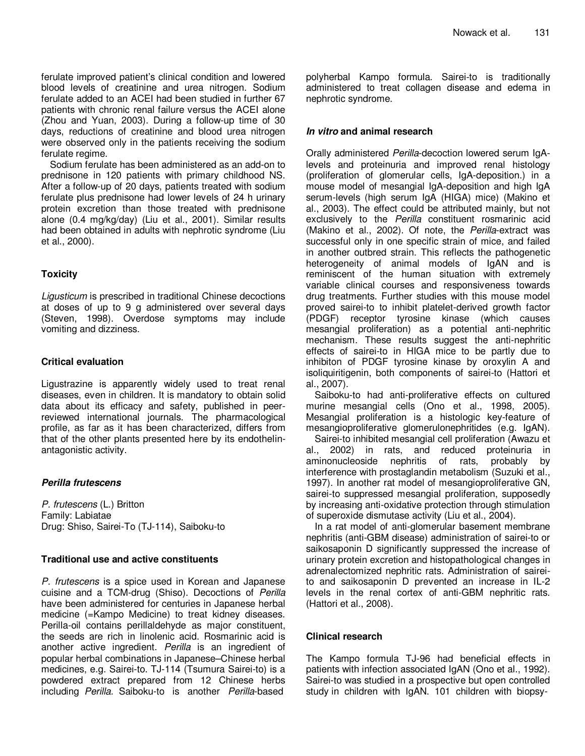ferulate improved patient's clinical condition and lowered blood levels of creatinine and urea nitrogen. Sodium ferulate added to an ACEI had been studied in further 67 patients with chronic renal failure versus the ACEI alone (Zhou and Yuan, 2003). During a follow-up time of 30 days, reductions of creatinine and blood urea nitrogen were observed only in the patients receiving the sodium ferulate regime.

Sodium ferulate has been administered as an add-on to prednisone in 120 patients with primary childhood NS. After a follow-up of 20 days, patients treated with sodium ferulate plus prednisone had lower levels of 24 h urinary protein excretion than those treated with prednisone alone (0.4 mg/kg/day) (Liu et al., 2001). Similar results had been obtained in adults with nephrotic syndrome (Liu et al., 2000).

### **Toxicity**

Ligusticum is prescribed in traditional Chinese decoctions at doses of up to 9 g administered over several days (Steven, 1998). Overdose symptoms may include vomiting and dizziness.

### **Critical evaluation**

Ligustrazine is apparently widely used to treat renal diseases, even in children. It is mandatory to obtain solid data about its efficacy and safety, published in peerreviewed international journals. The pharmacological profile, as far as it has been characterized, differs from that of the other plants presented here by its endothelinantagonistic activity.

## **Perilla frutescens**

P. frutescens (L.) Britton Family: Labiatae Drug: Shiso, Sairei-To (TJ-114), Saiboku-to

#### **Traditional use and active constituents**

P. frutescens is a spice used in Korean and Japanese cuisine and a TCM-drug (Shiso). Decoctions of Perilla have been administered for centuries in Japanese herbal medicine (=Kampo Medicine) to treat kidney diseases. Perilla-oil contains perillaldehyde as major constituent, the seeds are rich in linolenic acid. Rosmarinic acid is another active ingredient. Perilla is an ingredient of popular herbal combinations in Japanese–Chinese herbal medicines, e.g. Sairei-to. TJ-114 (Tsumura Sairei-to) is a powdered extract prepared from 12 Chinese herbs including Perilla. Saiboku-to is another Perilla-based

polyherbal Kampo formula. Sairei-to is traditionally administered to treat collagen disease and edema in nephrotic syndrome.

### **In vitro and animal research**

Orally administered Perilla-decoction lowered serum IgAlevels and proteinuria and improved renal histology (proliferation of glomerular cells, IgA-deposition.) in a mouse model of mesangial IgA-deposition and high IgA serum-levels (high serum IgA (HIGA) mice) (Makino et al., 2003). The effect could be attributed mainly, but not exclusively to the Perilla constituent rosmarinic acid (Makino et al., 2002). Of note, the Perilla-extract was successful only in one specific strain of mice, and failed in another outbred strain. This reflects the pathogenetic heterogeneity of animal models of IgAN and is reminiscent of the human situation with extremely variable clinical courses and responsiveness towards drug treatments. Further studies with this mouse model proved sairei-to to inhibit platelet-derived growth factor (PDGF) receptor tyrosine kinase (which causes mesangial proliferation) as a potential anti-nephritic mechanism. These results suggest the anti-nephritic effects of sairei-to in HIGA mice to be partly due to inhibiton of PDGF tyrosine kinase by oroxylin A and isoliquiritigenin, both components of sairei-to (Hattori et al., 2007).

Saiboku-to had anti-proliferative effects on cultured murine mesangial cells (Ono et al., 1998, 2005). Mesangial proliferation is a histologic key-feature of mesangioproliferative glomerulonephritides (e.g. IgAN).

Sairei-to inhibited mesangial cell proliferation (Awazu et al., 2002) in rats, and reduced proteinuria in aminonucleoside nephritis of rats, probably by interference with prostaglandin metabolism (Suzuki et al., 1997). In another rat model of mesangioproliferative GN, sairei-to suppressed mesangial proliferation, supposedly by increasing anti-oxidative protection through stimulation of superoxide dismutase activity (Liu et al., 2004).

In a rat model of anti-glomerular basement membrane nephritis (anti-GBM disease) administration of sairei-to or saikosaponin D significantly suppressed the increase of urinary protein excretion and histopathological changes in adrenalectomized nephritic rats. Administration of saireito and saikosaponin D prevented an increase in IL-2 levels in the renal cortex of anti-GBM nephritic rats. (Hattori et al., 2008).

## **Clinical research**

The Kampo formula TJ-96 had beneficial effects in patients with infection associated IgAN (Ono et al., 1992). Sairei-to was studied in a prospective but open controlled study in children with IgAN. 101 children with biopsy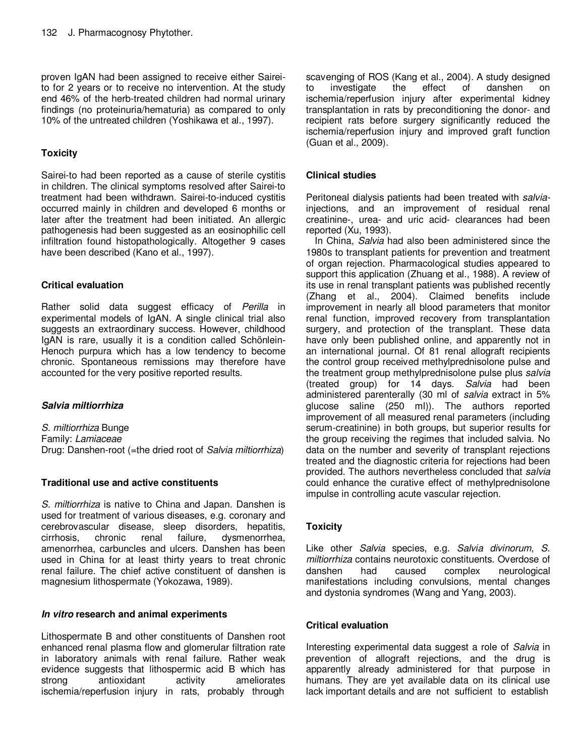proven IgAN had been assigned to receive either Saireito for 2 years or to receive no intervention. At the study end 46% of the herb-treated children had normal urinary findings (no proteinuria/hematuria) as compared to only 10% of the untreated children (Yoshikawa et al., 1997).

## **Toxicity**

Sairei-to had been reported as a cause of sterile cystitis in children. The clinical symptoms resolved after Sairei-to treatment had been withdrawn. Sairei-to-induced cystitis occurred mainly in children and developed 6 months or later after the treatment had been initiated. An allergic pathogenesis had been suggested as an eosinophilic cell infiltration found histopathologically. Altogether 9 cases have been described (Kano et al., 1997).

## **Critical evaluation**

Rather solid data suggest efficacy of Perilla in experimental models of IgAN. A single clinical trial also suggests an extraordinary success. However, childhood IgAN is rare, usually it is a condition called Schönlein-Henoch purpura which has a low tendency to become chronic. Spontaneous remissions may therefore have accounted for the very positive reported results.

## **Salvia miltiorrhiza**

S. miltiorrhiza Bunge Family: Lamiaceae Drug: Danshen-root (=the dried root of Salvia miltiorrhiza)

## **Traditional use and active constituents**

S. miltiorrhiza is native to China and Japan. Danshen is used for treatment of various diseases, e.g. coronary and cerebrovascular disease, sleep disorders, hepatitis, cirrhosis, chronic renal failure, dysmenorrhea, amenorrhea, carbuncles and ulcers. Danshen has been used in China for at least thirty years to treat chronic renal failure. The chief active constituent of danshen is magnesium lithospermate (Yokozawa, 1989).

## **In vitro research and animal experiments**

Lithospermate B and other constituents of Danshen root enhanced renal plasma flow and glomerular filtration rate in laboratory animals with renal failure. Rather weak evidence suggests that lithospermic acid B which has strong antioxidant activity ameliorates ischemia/reperfusion injury in rats, probably through

scavenging of ROS (Kang et al., 2004). A study designed to investigate the effect of danshen on ischemia/reperfusion injury after experimental kidney transplantation in rats by preconditioning the donor- and recipient rats before surgery significantly reduced the ischemia/reperfusion injury and improved graft function (Guan et al., 2009).

## **Clinical studies**

Peritoneal dialysis patients had been treated with salviainjections, and an improvement of residual renal creatinine-, urea- and uric acid- clearances had been reported (Xu, 1993).

In China, Salvia had also been administered since the 1980s to transplant patients for prevention and treatment of organ rejection. Pharmacological studies appeared to support this application (Zhuang et al., 1988). A review of its use in renal transplant patients was published recently (Zhang et al., 2004). Claimed benefits include improvement in nearly all blood parameters that monitor renal function, improved recovery from transplantation surgery, and protection of the transplant. These data have only been published online, and apparently not in an international journal. Of 81 renal allograft recipients the control group received methylprednisolone pulse and the treatment group methylprednisolone pulse plus salvia (treated group) for 14 days. Salvia had been administered parenterally (30 ml of salvia extract in 5% glucose saline (250 ml)). The authors reported improvement of all measured renal parameters (including serum-creatinine) in both groups, but superior results for the group receiving the regimes that included salvia. No data on the number and severity of transplant rejections treated and the diagnostic criteria for rejections had been provided. The authors nevertheless concluded that salvia could enhance the curative effect of methylprednisolone impulse in controlling acute vascular rejection.

## **Toxicity**

Like other Salvia species, e.g. Salvia divinorum, S. miltiorrhiza contains neurotoxic constituents. Overdose of danshen bad caused complex neurological danshen had caused complex neurological manifestations including convulsions, mental changes and dystonia syndromes (Wang and Yang, 2003).

## **Critical evaluation**

Interesting experimental data suggest a role of Salvia in prevention of allograft rejections, and the drug is apparently already administered for that purpose in humans. They are yet available data on its clinical use lack important details and are not sufficient to establish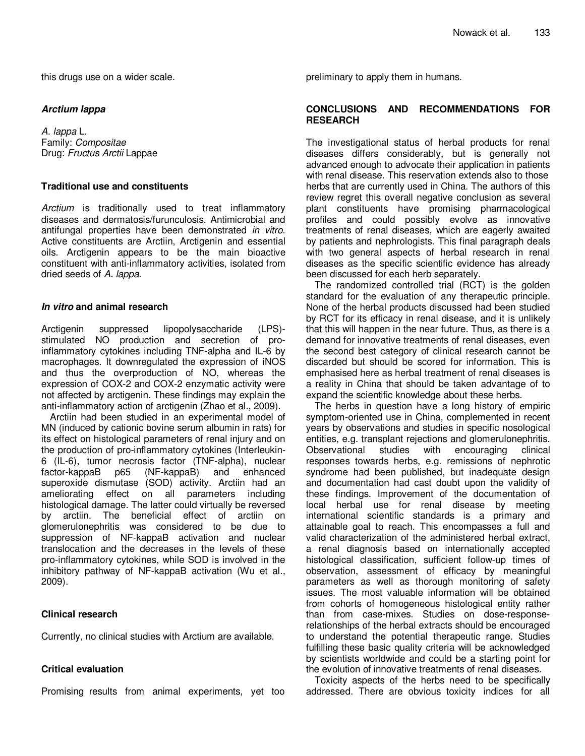this drugs use on a wider scale.

#### **Arctium lappa**

A. lappa L. Family: Compositae Drug: Fructus Arctii Lappae

#### **Traditional use and constituents**

Arctium is traditionally used to treat inflammatory diseases and dermatosis/furunculosis. Antimicrobial and antifungal properties have been demonstrated in vitro. Active constituents are Arctiin, Arctigenin and essential oils. Arctigenin appears to be the main bioactive constituent with anti-inflammatory activities, isolated from dried seeds of A. lappa.

### **In vitro and animal research**

Arctigenin suppressed lipopolysaccharide (LPS) stimulated NO production and secretion of proinflammatory cytokines including TNF-alpha and IL-6 by macrophages. It downregulated the expression of iNOS and thus the overproduction of NO, whereas the expression of COX-2 and COX-2 enzymatic activity were not affected by arctigenin. These findings may explain the anti-inflammatory action of arctigenin (Zhao et al., 2009).

Arctiin had been studied in an experimental model of MN (induced by cationic bovine serum albumin in rats) for its effect on histological parameters of renal injury and on the production of pro-inflammatory cytokines (Interleukin-6 (IL-6), tumor necrosis factor (TNF-alpha), nuclear factor-kappaB p65 (NF-kappaB) and enhanced superoxide dismutase (SOD) activity. Arctiin had an ameliorating effect on all parameters including histological damage. The latter could virtually be reversed by arctiin. The beneficial effect of arctiin on glomerulonephritis was considered to be due to suppression of NF-kappaB activation and nuclear translocation and the decreases in the levels of these pro-inflammatory cytokines, while SOD is involved in the inhibitory pathway of NF-kappaB activation (Wu et al., 2009).

## **Clinical research**

Currently, no clinical studies with Arctium are available.

## **Critical evaluation**

Promising results from animal experiments, yet too

preliminary to apply them in humans.

#### **CONCLUSIONS AND RECOMMENDATIONS FOR RESEARCH**

The investigational status of herbal products for renal diseases differs considerably, but is generally not advanced enough to advocate their application in patients with renal disease. This reservation extends also to those herbs that are currently used in China. The authors of this review regret this overall negative conclusion as several plant constituents have promising pharmacological profiles and could possibly evolve as innovative treatments of renal diseases, which are eagerly awaited by patients and nephrologists. This final paragraph deals with two general aspects of herbal research in renal diseases as the specific scientific evidence has already been discussed for each herb separately.

The randomized controlled trial (RCT) is the golden standard for the evaluation of any therapeutic principle. None of the herbal products discussed had been studied by RCT for its efficacy in renal disease, and it is unlikely that this will happen in the near future. Thus, as there is a demand for innovative treatments of renal diseases, even the second best category of clinical research cannot be discarded but should be scored for information. This is emphasised here as herbal treatment of renal diseases is a reality in China that should be taken advantage of to expand the scientific knowledge about these herbs.

The herbs in question have a long history of empiric symptom-oriented use in China, complemented in recent years by observations and studies in specific nosological entities, e.g. transplant rejections and glomerulonephritis. Observational studies with encouraging clinical responses towards herbs, e.g. remissions of nephrotic syndrome had been published, but inadequate design and documentation had cast doubt upon the validity of these findings. Improvement of the documentation of local herbal use for renal disease by meeting international scientific standards is a primary and attainable goal to reach. This encompasses a full and valid characterization of the administered herbal extract, a renal diagnosis based on internationally accepted histological classification, sufficient follow-up times of observation, assessment of efficacy by meaningful parameters as well as thorough monitoring of safety issues. The most valuable information will be obtained from cohorts of homogeneous histological entity rather than from case-mixes. Studies on dose-responserelationships of the herbal extracts should be encouraged to understand the potential therapeutic range. Studies fulfilling these basic quality criteria will be acknowledged by scientists worldwide and could be a starting point for the evolution of innovative treatments of renal diseases.

Toxicity aspects of the herbs need to be specifically addressed. There are obvious toxicity indices for all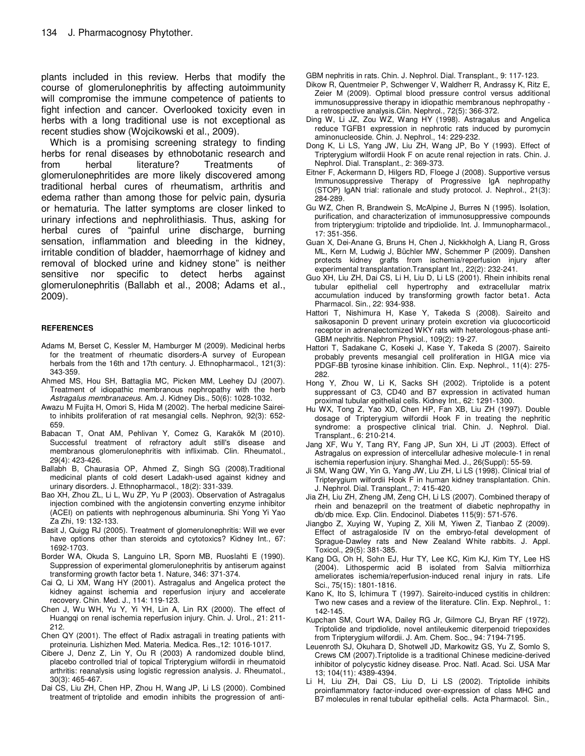plants included in this review. Herbs that modify the course of glomerulonephritis by affecting autoimmunity will compromise the immune competence of patients to fight infection and cancer. Overlooked toxicity even in herbs with a long traditional use is not exceptional as recent studies show (Wojcikowski et al., 2009).

Which is a promising screening strategy to finding herbs for renal diseases by ethnobotanic research and from herbal literature? Treatments of glomerulonephritides are more likely discovered among traditional herbal cures of rheumatism, arthritis and edema rather than among those for pelvic pain, dysuria or hematuria. The latter symptoms are closer linked to urinary infections and nephrolithiasis. Thus, asking for herbal cures of "painful urine discharge, burning sensation, inflammation and bleeding in the kidney, irritable condition of bladder, haemorrhage of kidney and removal of blocked urine and kidney stone" is neither sensitive nor specific to detect herbs against glomerulonephritis (Ballabh et al., 2008; Adams et al., 2009).

#### **REFERENCES**

- Adams M, Berset C, Kessler M, Hamburger M (2009). Medicinal herbs for the treatment of rheumatic disorders-A survey of European herbals from the 16th and 17th century. J. Ethnopharmacol., 121(3): 343-359.
- Ahmed MS, Hou SH, Battaglia MC, Picken MM, Leehey DJ (2007). Treatment of idiopathic membranous nephropathy with the herb Astragalus membranaceus. Am. J. Kidney Dis., 50(6): 1028-1032.
- Awazu M Fujita H, Omori S, Hida M (2002). The herbal medicine Saireito inhibits proliferation of rat mesangial cells. Nephron, 92(3): 652- 659.
- Babacan T, Onat AM, Pehlivan Y, Comez G, Karakök M (2010). Successful treatment of refractory adult still's disease and membranous glomerulonephritis with infliximab. Clin. Rheumatol., 29(4): 423-426.
- Ballabh B, Chaurasia OP, Ahmed Z, Singh SG (2008).Traditional medicinal plants of cold desert Ladakh-used against kidney and urinary disorders. J. Ethnopharmacol., 18(2): 331-339.
- Bao XH, Zhou ZL, Li L, Wu ZP, Yu P (2003). Observation of Astragalus injection combined with the angiotensin converting enzyme inhibitor (ACEI) on patients with nephrogenous albuminuria. Shi Yong Yi Yao Za Zhi, 19: 132-133.
- Basit J, Quigg RJ (2005). Treatment of glomerulonephritis: Will we ever have options other than steroids and cytotoxics? Kidney Int., 67: 1692-1703.
- Border WA, Okuda S, Languino LR, Sporn MB, Ruoslahti E (1990). Suppression of experimental glomerulonephritis by antiserum against transforming growth factor beta 1. Nature, 346: 371-374.
- Cai Q, Li XM, Wang HY (2001). Astragalus and Angelica protect the kidney against ischemia and reperfusion injury and accelerate recovery. Chin. Med. J., 114: 119-123.
- Chen J, Wu WH, Yu Y, Yi YH, Lin A, Lin RX (2000). The effect of Huangqi on renal ischemia reperfusion injury. Chin. J. Urol., 21: 211- 212.
- Chen QY (2001). The effect of Radix astragali in treating patients with proteinuria. Lishizhen Med. Materia. Medica. Res.,12: 1016-1017.
- Cibere J, Denz Z, Lin Y, Ou R (2003) A randomized double blind, placebo controlled trial of topical Tripterygium wilfordii in rheumatoid arthritis: reanalysis using logistic regression analysis. J. Rheumatol., 30(3): 465-467.
- Dai CS, Liu ZH, Chen HP, Zhou H, Wang JP, Li LS (2000). Combined treatment of triptolide and emodin inhibits the progression of anti-

GBM nephritis in rats. Chin. J. Nephrol. Dial. Transplant., 9: 117-123.

- Dikow R, Quentmeier P, Schwenger V, Waldherr R, Andrassy K, Ritz E, Zeier M (2009). Optimal blood pressure control versus additional immunosuppressive therapy in idiopathic membranous nephropathy a retrospective analysis.Clin. Nephrol., 72(5): 366-372.
- Ding W, Li JZ, Zou WZ, Wang HY (1998). Astragalus and Angelica reduce TGFB1 expression in nephrotic rats induced by puromycin aminonucleoside. Chin. J. Nephrol., 14: 229-232.
- Dong K, Li LS, Yang JW, Liu ZH, Wang JP, Bo Y (1993). Effect of Tripterygium wilfordii Hook F on acute renal rejection in rats. Chin. J. Nephrol. Dial. Transplant., 2: 369-373.
- Eitner F, Ackermann D, Hilgers RD, Floege J (2008). Supportive versus Immunosuppressive Therapy of Progressive IgA nephropathy (STOP) IgAN trial: rationale and study protocol. J. Nephrol., 21(3): 284-289.
- Gu WZ, Chen R, Brandwein S, McAlpine J, Burres N (1995). Isolation, purification, and characterization of immunosuppressive compounds from tripterygium: triptolide and tripdiolide. Int. J. Immunopharmacol., 17: 351-356.
- Guan X, Dei-Anane G, Bruns H, Chen J, Nickkholgh A, Liang R, Gross ML, Kern M, Ludwig J, Büchler MW, Schemmer P (2009). Danshen protects kidney grafts from ischemia/reperfusion injury after experimental transplantation.Transplant Int., 22(2): 232-241.
- Guo XH, Liu ZH, Dai CS, Li H, Liu D, Li LS (2001). Rhein inhibits renal tubular epithelial cell hypertrophy and extracellular matrix accumulation induced by transforming growth factor beta1. Acta Pharmacol. Sin., 22: 934-938.
- Hattori T, Nishimura H, Kase Y, Takeda S (2008). Saireito and saikosaponin D prevent urinary protein excretion via glucocorticoid receptor in adrenalectomized WKY rats with heterologous-phase anti-GBM nephritis. Nephron Physiol., 109(2): 19-27.
- Hattori T, Sadakane C, Koseki J, Kase Y, Takeda S (2007). Saireito probably prevents mesangial cell proliferation in HIGA mice via PDGF-BB tyrosine kinase inhibition. Clin. Exp. Nephrol., 11(4): 275- 282.
- Hong Y, Zhou W, Li K, Sacks SH (2002). Triptolide is a potent suppressant of C3, CD40 and B7 expression in activated human proximal tubular epithelial cells. Kidney Int., 62: 1291-1300.
- Hu WX, Tong Z, Yao XD, Chen HP, Fan XB, Liu ZH (1997). Double dosage of Tripterygium wilfordii Hook F in treating the nephritic syndrome: a prospective clinical trial. Chin. J. Nephrol. Dial. Transplant., 6: 210-214.
- Jang XF, Wu Y, Tang RY, Fang JP, Sun XH, Li JT (2003). Effect of Astragalus on expression of intercellular adhesive molecule-1 in renal ischemia reperfusion injury. Shanghai Med. J., 26(Suppl): 55-59.
- Ji SM, Wang QW, Yin G, Yang JW, Liu ZH, Li LS (1998). Clinical trial of Tripterygium wilfordii Hook F in human kidney transplantation. Chin. J. Nephrol. Dial. Transplant., 7: 415-420.
- Jia ZH, Liu ZH, Zheng JM, Zeng CH, Li LS (2007). Combined therapy of rhein and benazepril on the treatment of diabetic nephropathy in db/db mice. Exp. Clin. Endocinol. Diabetes 115(9): 571-576.
- Jiangbo Z, Xuying W, Yuping Z, Xili M, Yiwen Z, Tianbao Z (2009). Effect of astragaloside IV on the embryo-fetal development of Sprague-Dawley rats and New Zealand White rabbits. J. Appl. Toxicol., 29(5): 381-385.
- Kang DG, Oh H, Sohn EJ, Hur TY, Lee KC, Kim KJ, Kim TY, Lee HS (2004). Lithospermic acid B isolated from Salvia miltiorrhiza ameliorates ischemia/reperfusion-induced renal injury in rats. Life Sci., 75(15): 1801-1816.
- Kano K, Ito S, Ichimura T (1997). Saireito-induced cystitis in children: Two new cases and a review of the literature. Clin. Exp. Nephrol., 1: 142-145.
- Kupchan SM, Court WA, Dailey RG Jr, Gilmore CJ, Bryan RF (1972). Triptolide and tripdiolide, novel antileukemic diterpenoid triepoxides from Tripterygium wilfordii. J. Am. Chem. Soc., 94: 7194-7195.
- Leuenroth SJ, Okuhara D, Shotwell JD, Markowitz GS, Yu Z, Somlo S, Crews CM (2007).Triptolide is a traditional Chinese medicine-derived inhibitor of polycystic kidney disease. Proc. Natl. Acad. Sci. USA Mar 13; 104(11): 4389-4394.
- Li H, Liu ZH, Dai CS, Liu D, Li LS (2002). Triptolide inhibits proinflammatory factor-induced over-expression of class MHC and B7 molecules in renal tubular epithelial cells. Acta Pharmacol. Sin.,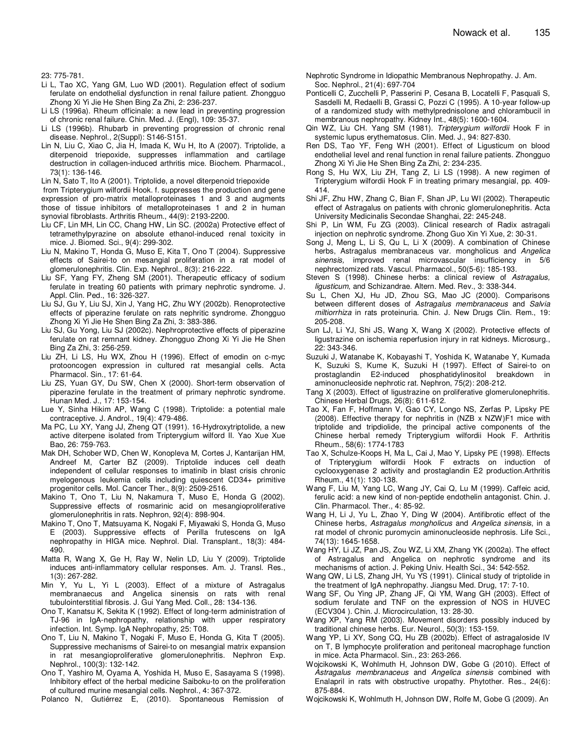23: 775-781.

- Li L, Tao XC, Yang GM, Luo WD (2001). Regulation effect of sodium ferulate on endothelial dysfunction in renal failure patient. Zhongguo Zhong Xi Yi Jie He Shen Bing Za Zhi, 2: 236-237.
- Li LS (1996a). Rheum officinale: a new lead in preventing progression of chronic renal failure. Chin. Med. J. (Engl), 109: 35-37.
- Li LS (1996b). Rhubarb in preventing progression of chronic renal disease. Nephrol., 2(Suppl): S146-S151.
- Lin N, Liu C, Xiao C, Jia H, Imada K, Wu H, Ito A (2007). Triptolide, a diterpenoid triepoxide, suppresses inflammation and cartilage destruction in collagen-induced arthritis mice. Biochem. Pharmacol., 73(1): 136-146.

Lin N, Sato T, Ito A (2001). Triptolide, a novel diterpenoid triepoxide

- from Tripterygium wilfordii Hook. f. suppresses the production and gene expression of pro-matrix metalloproteinases 1 and 3 and augments those of tissue inhibitors of metalloproteinases 1 and 2 in human synovial fibroblasts. Arthritis Rheum., 44(9): 2193-2200.
- Liu CF, Lin MH, Lin CC, Chang HW, Lin SC. (2002a) Protective effect of tetramethylpyrazine on absolute ethanol-induced renal toxicity in mice. J. Biomed. Sci., 9(4): 299-302.
- Liu N, Makino T, Honda G, Muso E, Kita T, Ono T (2004). Suppressive effects of Sairei-to on mesangial proliferation in a rat model of glomerulonephritis. Clin. Exp. Nephrol., 8(3): 216-222.
- Liu SF, Yang FY, Zheng SM (2001). Therapeutic efficacy of sodium ferulate in treating 60 patients with primary nephrotic syndrome. J. Appl. Clin. Ped., 16: 326-327.
- Liu SJ, Gu Y, Liu SJ, Xin J, Yang HC, Zhu WY (2002b). Renoprotective effects of piperazine ferulate on rats nephritic syndrome. Zhongguo Zhong Xi Yi Jie He Shen Bing Za Zhi, 3: 383-386.
- Liu SJ, Gu Yong, Liu SJ (2002c). Nephroprotective effects of piperazine ferulate on rat remnant kidney. Zhongguo Zhong Xi Yi Jie He Shen Bing Za Zhi, 3: 256-259.
- Liu ZH, Li LS, Hu WX, Zhou H (1996). Effect of emodin on c-myc protooncogen expression in cultured rat mesangial cells. Acta Pharmacol. Sin., 17: 61-64.
- Liu ZS, Yuan GY, Du SW, Chen X (2000). Short-term observation of piperazine ferulate in the treatment of primary nephrotic syndrome. Hunan Med. J., 17: 153-154.
- Lue Y, Sinha Hikim AP, Wang C (1998). Triptolide: a potential male contraceptive. J. Androl., 19(4): 479-486.
- Ma PC, Lu XY, Yang JJ, Zheng QT (1991). 16-Hydroxytriptolide, a new active diterpene isolated from Tripterygium wilford II. Yao Xue Xue Bao, 26: 759-763.
- Mak DH, Schober WD, Chen W, Konopleva M, Cortes J, Kantarijan HM, Andreef M, Carter BZ (2009). Triptolide induces cell death independent of cellular responses to imatinib in blast crisis chronic myelogenous leukemia cells including quiescent CD34+ primitive progenitor cells. Mol. Cancer Ther., 8(9): 2509-2516.
- Makino T, Ono T, Liu N, Nakamura T, Muso E, Honda G (2002). Suppressive effects of rosmarinic acid on mesangioproliferative glomerulonephritis in rats. Nephron, 92(4): 898-904.
- Makino T, Ono T, Matsuyama K, Nogaki F, Miyawaki S, Honda G, Muso E (2003). Suppressive effects of Perilla frutescens on IgA nephropathy in HIGA mice. Nephrol. Dial. Transplant., 18(3): 484- 490.
- Matta R, Wang X, Ge H, Ray W, Nelin LD, Liu Y (2009). Triptolide induces anti-inflammatory cellular responses. Am. J. Transl. Res., 1(3): 267-282.
- Min Y, Yu L, Yi L (2003). Effect of a mixture of Astragalus membranaecus and Angelica sinensis on rats with renal tubulointerstitial fibrosis. J. Gui Yang Med. Coll., 28: 134-136.
- Ono T, Kanatsu K, Sekita K (1992). Effect of long-term administration of TJ-96 in IgA-nephropathy, relationship with upper respiratory infection. Int. Symp. IgA Nephropathy, 25: T08.
- Ono T, Liu N, Makino T, Nogaki F, Muso E, Honda G, Kita T (2005). Suppressive mechanisms of Sairei-to on mesangial matrix expansion in rat mesangioproliferative glomerulonephritis. Nephron Exp. Nephrol., 100(3): 132-142.
- Ono T, Yashiro M, Oyama A, Yoshida H, Muso E, Sasayama S (1998). Inhibitory effect of the herbal medicine Saiboku-to on the proliferation of cultured murine mesangial cells. Nephrol., 4: 367-372.
- Polanco N, Gutiérrez E, (2010). Spontaneous Remission of
- Nephrotic Syndrome in Idiopathic Membranous Nephropathy. J. Am. Soc. Nephrol., 21(4): 697-704
- Ponticelli C, Zucchelli P, Passerini P, Cesana B, Locatelli F, Pasquali S, Sasdelli M, Redaelli B, Grassi C, Pozzi C (1995). A 10-year follow-up of a randomized study with methylprednisolone and chlorambucil in membranous nephropathy. Kidney Int., 48(5): 1600-1604.
- Qin WZ, Liu CH. Yang SM (1981). Tripterygium wilfordii Hook F in systemic lupus erythematosus. Clin. Med. J., 94: 827-830.
- Ren DS, Tao YF, Feng WH (2001). Effect of Ligusticum on blood endothelial level and renal function in renal failure patients. Zhongguo Zhong Xi Yi Jie He Shen Bing Za Zhi, 2: 234-235.
- Rong S, Hu WX, Liu ZH, Tang Z, Li LS (1998). A new regimen of Tripterygium wilfordii Hook F in treating primary mesangial, pp. 409- 414.
- Shi JF, Zhu HW, Zhang C, Bian F, Shan JP, Lu Wl (2002). Therapeutic effect of Astragalus on patients with chronic glomerulonephritis. Acta University Medicinalis Secondae Shanghai, 22: 245-248.
- Shi P, Lin WM, Fu ZG (2003). Clinical research of Radix astragali injection on nephrotic syndrome. Zhong Guo Xin Yi Xue, 2: 30-31.
- Song J, Meng L, Li S, Qu L, Li X (2009). A combination of Chinese herbs, Astragalus membranaceus var. mongholicus and Angelica sinensis, improved renal microvascular insufficiency in 5/6 nephrectomized rats. Vascul. Pharmacol., 50(5-6): 185-193.
- Steven S (1998). Chinese herbs: a clinical review of Astragalus, ligusticum, and Schizandrae. Altern. Med. Rev., 3: 338-344.
- Su L, Chen XJ, Hu JD, Zhou SG, Mao JC (2000). Comparisons between different doses of Astragalus membranaceus and Salvia miltiorrhiza in rats proteinuria. Chin. J. New Drugs Clin. Rem., 19: 205-208.
- Sun LJ, Li YJ, Shi JS, Wang X, Wang X (2002). Protective effects of ligustrazine on ischemia reperfusion injury in rat kidneys. Microsurg., 22: 343-346.
- Suzuki J, Watanabe K, Kobayashi T, Yoshida K, Watanabe Y, Kumada K, Suzuki S, Kume K, Suzuki H (1997). Effect of Sairei-to on prostaglandin E2-induced phosphatidylinositol breakdown in aminonucleoside nephrotic rat. Nephron, 75(2): 208-212.
- Tang X (2003). Effect of ligustrazine on proliferative glomerulonephritis. Chinese Herbal Drugs, 26(8): 611-612.
- Tao X, Fan F, Hoffmann V, Gao CY, Longo NS, Zerfas P, Lipsky PE (2008). Effective therapy for nephritis in (NZB x NZW)F1 mice with triptolide and tripdiolide, the principal active components of the Chinese herbal remedy Tripterygium wilfordii Hook F. Arthritis Rheum., 58(6): 1774-1783
- Tao X, Schulze-Koops H, Ma L, Cai J, Mao Y, Lipsky PE (1998). Effects of Tripterygium wilfordii Hook F extracts on induction of cyclooxygenase 2 activity and prostaglandin E2 production.Arthritis Rheum., 41(1): 130-138.
- Wang F, Liu M, Yang LC, Wang JY, Cai Q, Lu M (1999). Caffeic acid, ferulic acid: a new kind of non-peptide endothelin antagonist. Chin. J. Clin. Pharmacol. Ther., 4: 85-92.
- Wang H, Li J, Yu L, Zhao Y, Ding W (2004). Antifibrotic effect of the Chinese herbs, Astragalus mongholicus and Angelica sinensis, in a rat model of chronic puromycin aminonucleoside nephrosis. Life Sci., 74(13): 1645-1658.
- Wang HY, Li JZ, Pan JS, Zou WZ, Li XM, Zhang YK (2002a). The effect of Astragalus and Angelica on nephrotic syndrome and its mechanisms of action. J. Peking Univ. Health Sci., 34: 542-552.
- Wang QW, Li LS, Zhang JH, Yu YS (1991). Clinical study of triptolide in the treatment of IgA nephropathy. Jiangsu Med. Drug, 17: 7-10.
- Wang SF, Ou Ying JP, Zhang JF, Qi YM, Wang GH (2003). Effect of sodium ferulate and TNF on the expression of NOS in HUVEC (ECV304 ). Chin. J. Microcirculation, 13: 28-30.
- Wang XP, Yang RM (2003). Movement disorders possibly induced by traditional chinese herbs. Eur. Neurol., 50(3): 153-159.
- Wang YP, Li XY, Song CQ, Hu ZB (2002b). Effect of astragaloside IV on T, B lymphocyte proliferation and peritoneal macrophage function in mice. Acta Pharmacol. Sin., 23: 263-266.
- Wojcikowski K, Wohlmuth H, Johnson DW, Gobe G (2010). Effect of Astragalus membranaceus and Angelica sinensis combined with Enalapril in rats with obstructive uropathy. Phytother. Res., 24(6): 875-884.
- Wojcikowski K, Wohlmuth H, Johnson DW, Rolfe M, Gobe G (2009). An